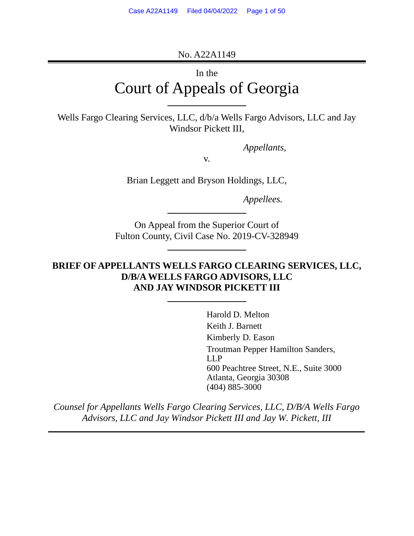No. A22A1149

# In the Court of Appeals of Georgia

Wells Fargo Clearing Services, LLC, d/b/a Wells Fargo Advisors, LLC and Jay Windsor Pickett III,

*Appellants,* 

v.

Brian Leggett and Bryson Holdings, LLC,

*Appellees.* 

On Appeal from the Superior Court of Fulton County, Civil Case No. 2019-CV-328949

# **BRIEF OF APPELLANTS WELLS FARGO CLEARING SERVICES, LLC, D/B/A WELLS FARGO ADVISORS, LLC AND JAY WINDSOR PICKETT III**

Harold D. Melton Keith J. Barnett Kimberly D. Eason Troutman Pepper Hamilton Sanders, LLP 600 Peachtree Street, N.E., Suite 3000 Atlanta, Georgia 30308 (404) 885-3000

*Counsel for Appellants Wells Fargo Clearing Services, LLC, D/B/A Wells Fargo Advisors, LLC and Jay Windsor Pickett III and Jay W. Pickett, III*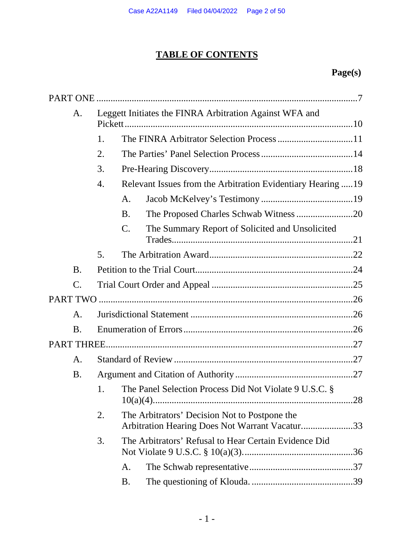# **TABLE OF CONTENTS**

# **Page(s)**

| A.              | Leggett Initiates the FINRA Arbitration Against WFA and |                 |                                                                                                 |     |  |
|-----------------|---------------------------------------------------------|-----------------|-------------------------------------------------------------------------------------------------|-----|--|
|                 | 1.                                                      |                 |                                                                                                 |     |  |
| 2.              |                                                         |                 |                                                                                                 |     |  |
|                 | 3.                                                      |                 |                                                                                                 |     |  |
|                 | 4.                                                      |                 | Relevant Issues from the Arbitration Evidentiary Hearing  19                                    |     |  |
|                 |                                                         | A.              |                                                                                                 |     |  |
|                 |                                                         | <b>B.</b>       | The Proposed Charles Schwab Witness 20                                                          |     |  |
|                 |                                                         | $\mathcal{C}$ . | The Summary Report of Solicited and Unsolicited                                                 |     |  |
|                 | 5.                                                      |                 |                                                                                                 |     |  |
| <b>B.</b>       |                                                         |                 |                                                                                                 |     |  |
| $\mathcal{C}$ . |                                                         |                 |                                                                                                 |     |  |
|                 |                                                         |                 |                                                                                                 |     |  |
| A.              |                                                         |                 |                                                                                                 |     |  |
| <b>B.</b>       |                                                         |                 |                                                                                                 |     |  |
|                 |                                                         |                 |                                                                                                 |     |  |
| A.              |                                                         |                 |                                                                                                 |     |  |
| <b>B.</b>       |                                                         |                 |                                                                                                 |     |  |
|                 | 1.                                                      |                 | The Panel Selection Process Did Not Violate 9 U.S.C. §                                          | .28 |  |
|                 | 2.                                                      |                 | The Arbitrators' Decision Not to Postpone the<br>Arbitration Hearing Does Not Warrant Vacatur33 |     |  |
|                 | 3.                                                      |                 | The Arbitrators' Refusal to Hear Certain Evidence Did                                           |     |  |
|                 |                                                         | A.              |                                                                                                 |     |  |
|                 |                                                         | <b>B.</b>       |                                                                                                 |     |  |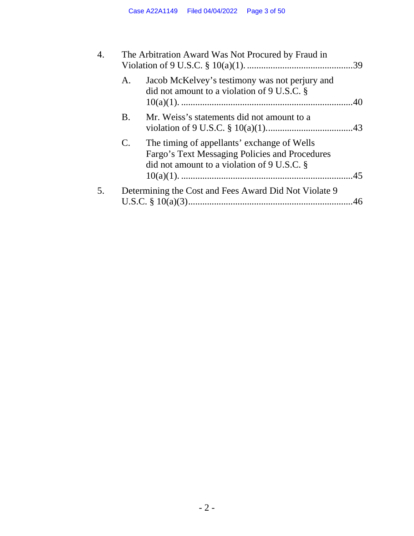| 4. | The Arbitration Award Was Not Procured by Fraud in |                                                                                                                                                         |  |  |
|----|----------------------------------------------------|---------------------------------------------------------------------------------------------------------------------------------------------------------|--|--|
|    | A.                                                 | Jacob McKelvey's testimony was not perjury and<br>did not amount to a violation of $9 \text{ U.S.C. }$ §                                                |  |  |
|    | <b>B.</b>                                          | Mr. Weiss's statements did not amount to a                                                                                                              |  |  |
|    | C.                                                 | The timing of appellants' exchange of Wells<br>Fargo's Text Messaging Policies and Procedures<br>did not amount to a violation of $9 \text{ U.S.C. }$ § |  |  |
| 5. |                                                    | Determining the Cost and Fees Award Did Not Violate 9                                                                                                   |  |  |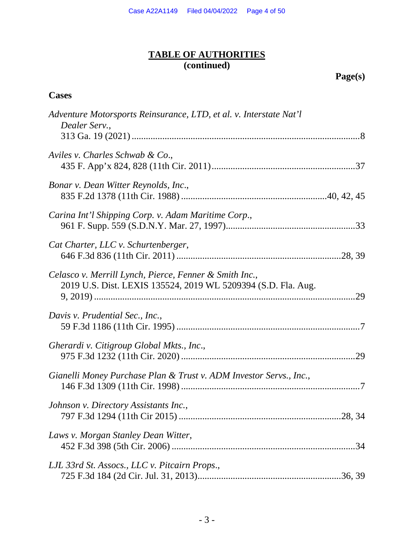# **TABLE OF AUTHORITIES (continued)**

 **Page(s)** 

# **Cases**

| Adventure Motorsports Reinsurance, LTD, et al. v. Interstate Nat'l<br>Dealer Serv.,                                     |  |
|-------------------------------------------------------------------------------------------------------------------------|--|
| Aviles v. Charles Schwab & Co.,                                                                                         |  |
| Bonar v. Dean Witter Reynolds, Inc.,                                                                                    |  |
| Carina Int'l Shipping Corp. v. Adam Maritime Corp.,                                                                     |  |
| Cat Charter, LLC v. Schurtenberger,                                                                                     |  |
| Celasco v. Merrill Lynch, Pierce, Fenner & Smith Inc.,<br>2019 U.S. Dist. LEXIS 135524, 2019 WL 5209394 (S.D. Fla. Aug. |  |
| Davis v. Prudential Sec., Inc.,                                                                                         |  |
| Gherardi v. Citigroup Global Mkts., Inc.,                                                                               |  |
| Gianelli Money Purchase Plan & Trust v. ADM Investor Servs., Inc.,                                                      |  |
| Johnson v. Directory Assistants Inc.,                                                                                   |  |
| Laws v. Morgan Stanley Dean Witter,                                                                                     |  |
| LJL 33rd St. Assocs., LLC v. Pitcairn Props.,                                                                           |  |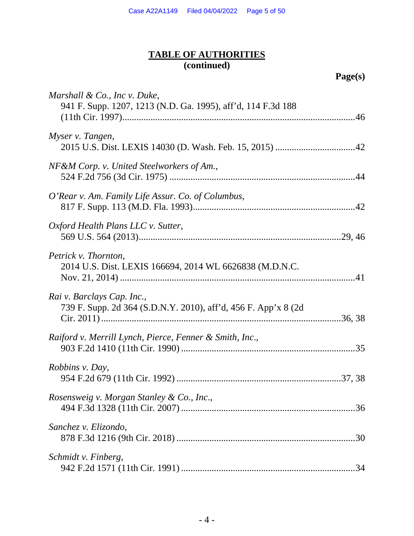# **TABLE OF AUTHORITIES (continued)**

 **Page(s)** 

| Marshall & Co., Inc v. Duke,<br>941 F. Supp. 1207, 1213 (N.D. Ga. 1995), aff'd, 114 F.3d 188  |
|-----------------------------------------------------------------------------------------------|
| Myser v. Tangen,                                                                              |
| NF&M Corp. v. United Steelworkers of Am.,                                                     |
| O'Rear v. Am. Family Life Assur. Co. of Columbus,                                             |
| Oxford Health Plans LLC v. Sutter,                                                            |
| Petrick v. Thornton,<br>2014 U.S. Dist. LEXIS 166694, 2014 WL 6626838 (M.D.N.C.               |
| Rai v. Barclays Cap. Inc.,<br>739 F. Supp. 2d 364 (S.D.N.Y. 2010), aff'd, 456 F. App'x 8 (2d) |
| Raiford v. Merrill Lynch, Pierce, Fenner & Smith, Inc.,                                       |
| <i>Robbins v. Day,</i>                                                                        |
| Rosensweig v. Morgan Stanley & Co., Inc.,                                                     |
| Sanchez v. Elizondo,                                                                          |
| Schmidt v. Finberg,                                                                           |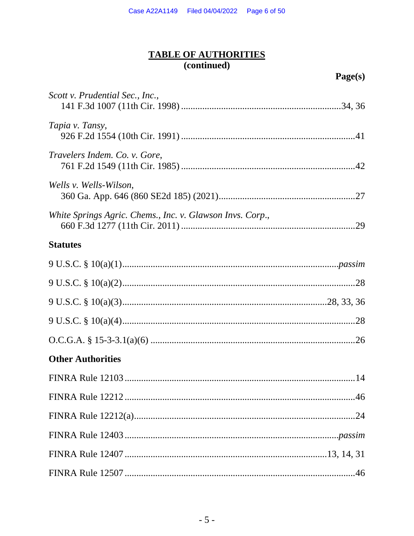# TABLE OF AUTHORITIES<br>(continued)

| Scott v. Prudential Sec., Inc.,                           |
|-----------------------------------------------------------|
| Tapia v. Tansy,                                           |
| Travelers Indem. Co. v. Gore,                             |
| Wells v. Wells-Wilson,                                    |
| White Springs Agric. Chems., Inc. v. Glawson Invs. Corp., |
| <b>Statutes</b>                                           |
|                                                           |
|                                                           |
|                                                           |
|                                                           |
|                                                           |
| <b>Other Authorities</b>                                  |
|                                                           |
|                                                           |
|                                                           |
|                                                           |
|                                                           |
|                                                           |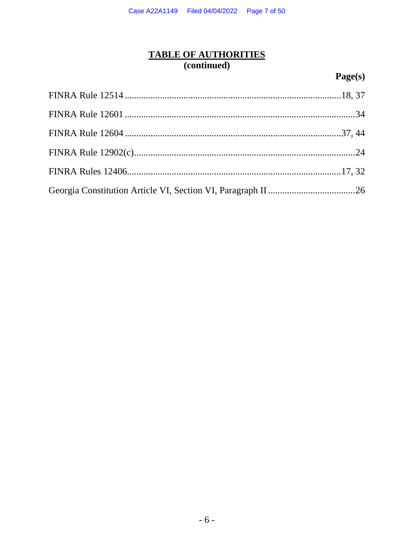# TABLE OF AUTHORITIES<br>(continued)

# Page(s)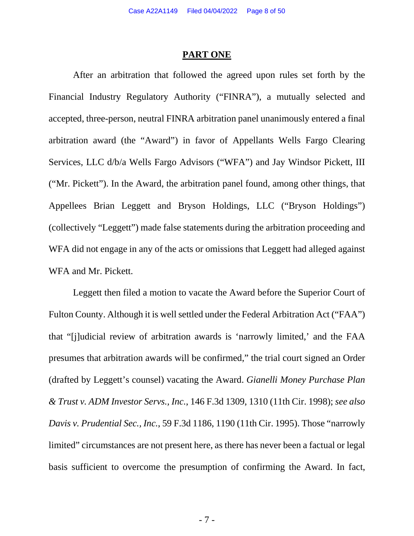#### **PART ONE**

<span id="page-7-0"></span>After an arbitration that followed the agreed upon rules set forth by the Financial Industry Regulatory Authority ("FINRA"), a mutually selected and accepted, three-person, neutral FINRA arbitration panel unanimously entered a final arbitration award (the "Award") in favor of Appellants Wells Fargo Clearing Services, LLC d/b/a Wells Fargo Advisors ("WFA") and Jay Windsor Pickett, III ("Mr. Pickett"). In the Award, the arbitration panel found, among other things, that Appellees Brian Leggett and Bryson Holdings, LLC ("Bryson Holdings") (collectively "Leggett") made false statements during the arbitration proceeding and WFA did not engage in any of the acts or omissions that Leggett had alleged against WFA and Mr. Pickett.

<span id="page-7-2"></span><span id="page-7-1"></span>Leggett then filed a motion to vacate the Award before the Superior Court of Fulton County. Although it is well settled under the Federal Arbitration Act ("FAA") that "[j]udicial review of arbitration awards is 'narrowly limited,' and the FAA presumes that arbitration awards will be confirmed," the trial court signed an Order (drafted by Leggett's counsel) vacating the Award. *Gianelli Money Purchase Plan & Trust v. ADM Investor Servs., Inc.*, 146 F.3d 1309, 1310 (11th Cir. 1998); *see also Davis v. Prudential Sec., Inc.*, 59 F.3d 1186, 1190 (11th Cir. 1995). Those "narrowly limited" circumstances are not present here, as there has never been a factual or legal basis sufficient to overcome the presumption of confirming the Award. In fact,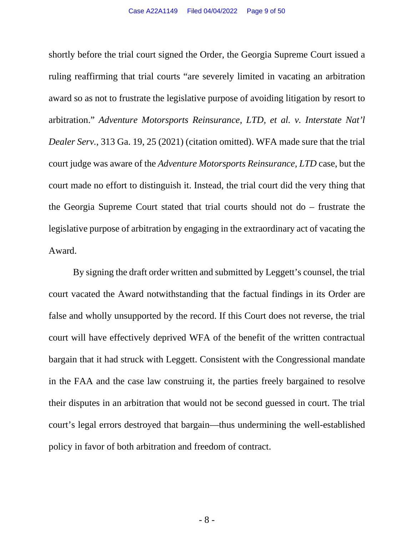<span id="page-8-0"></span>shortly before the trial court signed the Order, the Georgia Supreme Court issued a ruling reaffirming that trial courts "are severely limited in vacating an arbitration award so as not to frustrate the legislative purpose of avoiding litigation by resort to arbitration." *Adventure Motorsports Reinsurance, LTD, et al. v. Interstate Nat'l Dealer Serv.*, 313 Ga. 19, 25 (2021) (citation omitted). WFA made sure that the trial court judge was aware of the *Adventure Motorsports Reinsurance, LTD* case, but the court made no effort to distinguish it. Instead, the trial court did the very thing that the Georgia Supreme Court stated that trial courts should not do – frustrate the legislative purpose of arbitration by engaging in the extraordinary act of vacating the Award.

By signing the draft order written and submitted by Leggett's counsel, the trial court vacated the Award notwithstanding that the factual findings in its Order are false and wholly unsupported by the record. If this Court does not reverse, the trial court will have effectively deprived WFA of the benefit of the written contractual bargain that it had struck with Leggett. Consistent with the Congressional mandate in the FAA and the case law construing it, the parties freely bargained to resolve their disputes in an arbitration that would not be second guessed in court. The trial court's legal errors destroyed that bargain—thus undermining the well-established policy in favor of both arbitration and freedom of contract.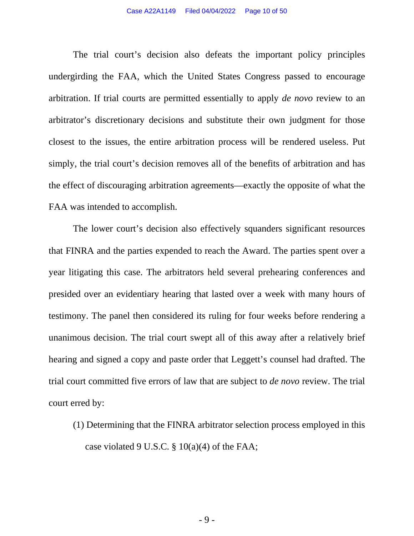The trial court's decision also defeats the important policy principles undergirding the FAA, which the United States Congress passed to encourage arbitration. If trial courts are permitted essentially to apply *de novo* review to an arbitrator's discretionary decisions and substitute their own judgment for those closest to the issues, the entire arbitration process will be rendered useless. Put simply, the trial court's decision removes all of the benefits of arbitration and has the effect of discouraging arbitration agreements—exactly the opposite of what the FAA was intended to accomplish.

The lower court's decision also effectively squanders significant resources that FINRA and the parties expended to reach the Award. The parties spent over a year litigating this case. The arbitrators held several prehearing conferences and presided over an evidentiary hearing that lasted over a week with many hours of testimony. The panel then considered its ruling for four weeks before rendering a unanimous decision. The trial court swept all of this away after a relatively brief hearing and signed a copy and paste order that Leggett's counsel had drafted. The trial court committed five errors of law that are subject to *de novo* review. The trial court erred by:

(1) Determining that the FINRA arbitrator selection process employed in this case violated 9 U.S.C. § 10(a)(4) of the FAA;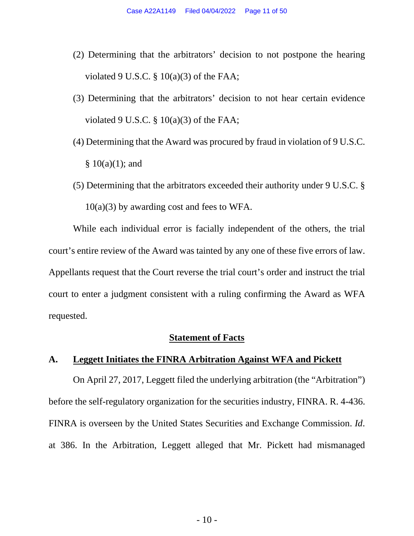- (2) Determining that the arbitrators' decision to not postpone the hearing violated 9 U.S.C.  $\S$  10(a)(3) of the FAA;
- (3) Determining that the arbitrators' decision to not hear certain evidence violated 9 U.S.C.  $\S$  10(a)(3) of the FAA;
- <span id="page-10-1"></span>(4) Determining that the Award was procured by fraud in violation of 9 U.S.C.  $§ 10(a)(1);$  and
- (5) Determining that the arbitrators exceeded their authority under 9 U.S.C. §  $10(a)(3)$  by awarding cost and fees to WFA.

While each individual error is facially independent of the others, the trial court's entire review of the Award was tainted by any one of these five errors of law. Appellants request that the Court reverse the trial court's order and instruct the trial court to enter a judgment consistent with a ruling confirming the Award as WFA requested.

#### **Statement of Facts**

## <span id="page-10-0"></span>**A. Leggett Initiates the FINRA Arbitration Against WFA and Pickett**

On April 27, 2017, Leggett filed the underlying arbitration (the "Arbitration") before the self-regulatory organization for the securities industry, FINRA. R. 4-436. FINRA is overseen by the United States Securities and Exchange Commission. *Id*. at 386. In the Arbitration, Leggett alleged that Mr. Pickett had mismanaged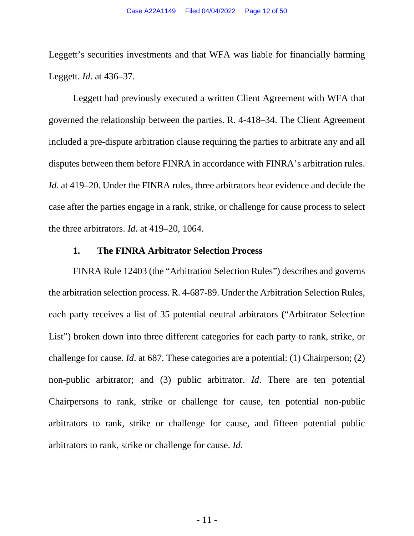Leggett's securities investments and that WFA was liable for financially harming Leggett. *Id*. at 436–37.

Leggett had previously executed a written Client Agreement with WFA that governed the relationship between the parties. R. 4-418–34. The Client Agreement included a pre-dispute arbitration clause requiring the parties to arbitrate any and all disputes between them before FINRA in accordance with FINRA's arbitration rules. *Id*. at 419–20. Under the FINRA rules, three arbitrators hear evidence and decide the case after the parties engage in a rank, strike, or challenge for cause process to select the three arbitrators. *Id*. at 419–20, 1064.

#### <span id="page-11-1"></span><span id="page-11-0"></span>**1. The FINRA Arbitrator Selection Process**

FINRA Rule 12403 (the "Arbitration Selection Rules") describes and governs the arbitration selection process. R. 4-687-89. Under the Arbitration Selection Rules, each party receives a list of 35 potential neutral arbitrators ("Arbitrator Selection List") broken down into three different categories for each party to rank, strike, or challenge for cause. *Id*. at 687. These categories are a potential: (1) Chairperson; (2) non-public arbitrator; and (3) public arbitrator. *Id*. There are ten potential Chairpersons to rank, strike or challenge for cause, ten potential non-public arbitrators to rank, strike or challenge for cause, and fifteen potential public arbitrators to rank, strike or challenge for cause. *Id*.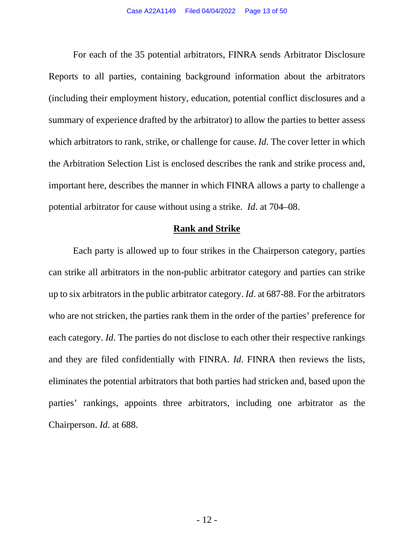For each of the 35 potential arbitrators, FINRA sends Arbitrator Disclosure Reports to all parties, containing background information about the arbitrators (including their employment history, education, potential conflict disclosures and a summary of experience drafted by the arbitrator) to allow the parties to better assess which arbitrators to rank, strike, or challenge for cause. *Id*. The cover letter in which the Arbitration Selection List is enclosed describes the rank and strike process and, important here, describes the manner in which FINRA allows a party to challenge a potential arbitrator for cause without using a strike. *Id*. at 704–08.

#### **Rank and Strike**

Each party is allowed up to four strikes in the Chairperson category, parties can strike all arbitrators in the non-public arbitrator category and parties can strike up to six arbitrators in the public arbitrator category. *Id*. at 687-88. For the arbitrators who are not stricken, the parties rank them in the order of the parties' preference for each category. *Id*. The parties do not disclose to each other their respective rankings and they are filed confidentially with FINRA. *Id*. FINRA then reviews the lists, eliminates the potential arbitrators that both parties had stricken and, based upon the parties' rankings, appoints three arbitrators, including one arbitrator as the Chairperson. *Id*. at 688.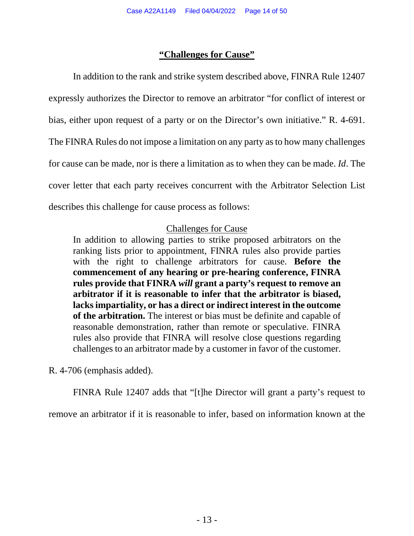### <span id="page-13-0"></span>**"Challenges for Cause"**

In addition to the rank and strike system described above, FINRA Rule 12407 expressly authorizes the Director to remove an arbitrator "for conflict of interest or bias, either upon request of a party or on the Director's own initiative." R. 4-691. The FINRA Rules do not impose a limitation on any party as to how many challenges for cause can be made, nor is there a limitation as to when they can be made. *Id*. The cover letter that each party receives concurrent with the Arbitrator Selection List describes this challenge for cause process as follows:

# Challenges for Cause

In addition to allowing parties to strike proposed arbitrators on the ranking lists prior to appointment, FINRA rules also provide parties with the right to challenge arbitrators for cause. **Before the commencement of any hearing or pre-hearing conference, FINRA rules provide that FINRA** *will* **grant a party's request to remove an arbitrator if it is reasonable to infer that the arbitrator is biased, lacks impartiality, or has a direct or indirect interest in the outcome of the arbitration.** The interest or bias must be definite and capable of reasonable demonstration, rather than remote or speculative. FINRA rules also provide that FINRA will resolve close questions regarding challenges to an arbitrator made by a customer in favor of the customer.

R. 4-706 (emphasis added).

FINRA Rule 12407 adds that "[t]he Director will grant a party's request to

remove an arbitrator if it is reasonable to infer, based on information known at the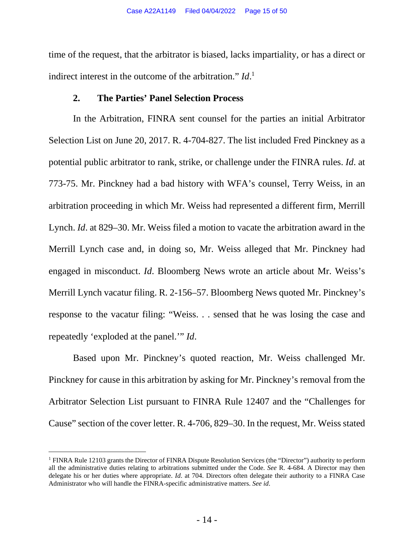time of the request, that the arbitrator is biased, lacks impartiality, or has a direct or indirect interest in the outcome of the arbitration." *Id*. [1](#page-14-3)

#### <span id="page-14-2"></span><span id="page-14-0"></span>**2. The Parties' Panel Selection Process**

In the Arbitration, FINRA sent counsel for the parties an initial Arbitrator Selection List on June 20, 2017. R. 4-704-827. The list included Fred Pinckney as a potential public arbitrator to rank, strike, or challenge under the FINRA rules. *Id*. at 773-75. Mr. Pinckney had a bad history with WFA's counsel, Terry Weiss, in an arbitration proceeding in which Mr. Weiss had represented a different firm, Merrill Lynch. *Id*. at 829–30. Mr. Weiss filed a motion to vacate the arbitration award in the Merrill Lynch case and, in doing so, Mr. Weiss alleged that Mr. Pinckney had engaged in misconduct. *Id*. Bloomberg News wrote an article about Mr. Weiss's Merrill Lynch vacatur filing. R. 2-156–57. Bloomberg News quoted Mr. Pinckney's response to the vacatur filing: "Weiss. . . sensed that he was losing the case and repeatedly 'exploded at the panel.'" *Id*.

Based upon Mr. Pinckney's quoted reaction, Mr. Weiss challenged Mr. Pinckney for cause in this arbitration by asking for Mr. Pinckney's removal from the Arbitrator Selection List pursuant to FINRA Rule 12407 and the "Challenges for Cause" section of the cover letter. R. 4-706, 829–30. In the request, Mr. Weiss stated

<span id="page-14-3"></span><span id="page-14-1"></span><sup>&</sup>lt;sup>1</sup> FINRA Rule 12103 grants the Director of FINRA Dispute Resolution Services (the "Director") authority to perform all the administrative duties relating to arbitrations submitted under the Code. *See* R. 4-684. A Director may then delegate his or her duties where appropriate. *Id*. at 704. Directors often delegate their authority to a FINRA Case Administrator who will handle the FINRA-specific administrative matters. *See id*.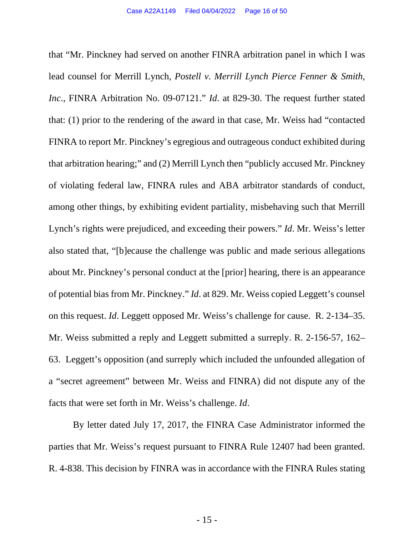that "Mr. Pinckney had served on another FINRA arbitration panel in which I was lead counsel for Merrill Lynch, *Postell v. Merrill Lynch Pierce Fenner & Smith, Inc*., FINRA Arbitration No. 09-07121." *Id*. at 829-30. The request further stated that: (1) prior to the rendering of the award in that case, Mr. Weiss had "contacted FINRA to report Mr. Pinckney's egregious and outrageous conduct exhibited during that arbitration hearing;" and (2) Merrill Lynch then "publicly accused Mr. Pinckney of violating federal law, FINRA rules and ABA arbitrator standards of conduct, among other things, by exhibiting evident partiality, misbehaving such that Merrill Lynch's rights were prejudiced, and exceeding their powers." *Id*. Mr. Weiss's letter also stated that, "[b]ecause the challenge was public and made serious allegations about Mr. Pinckney's personal conduct at the [prior] hearing, there is an appearance of potential bias from Mr. Pinckney." *Id*. at 829. Mr. Weiss copied Leggett's counsel on this request. *Id*. Leggett opposed Mr. Weiss's challenge for cause. R. 2-134–35. Mr. Weiss submitted a reply and Leggett submitted a surreply. R. 2-156-57, 162– 63. Leggett's opposition (and surreply which included the unfounded allegation of a "secret agreement" between Mr. Weiss and FINRA) did not dispute any of the facts that were set forth in Mr. Weiss's challenge. *Id*.

By letter dated July 17, 2017, the FINRA Case Administrator informed the parties that Mr. Weiss's request pursuant to FINRA Rule 12407 had been granted. R. 4-838. This decision by FINRA was in accordance with the FINRA Rules stating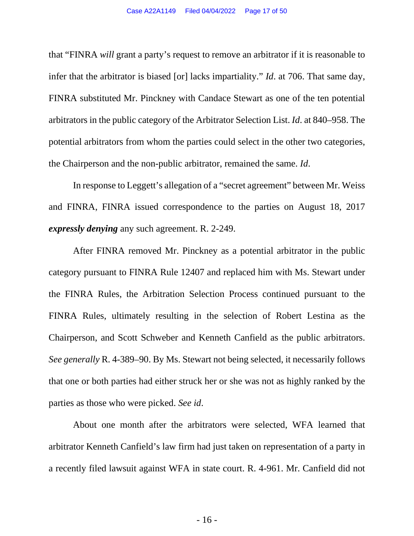that "FINRA *will* grant a party's request to remove an arbitrator if it is reasonable to infer that the arbitrator is biased [or] lacks impartiality." *Id*. at 706. That same day, FINRA substituted Mr. Pinckney with Candace Stewart as one of the ten potential arbitrators in the public category of the Arbitrator Selection List. *Id*. at 840–958. The potential arbitrators from whom the parties could select in the other two categories, the Chairperson and the non-public arbitrator, remained the same. *Id*.

In response to Leggett's allegation of a "secret agreement" between Mr. Weiss and FINRA, FINRA issued correspondence to the parties on August 18, 2017 *expressly denying* any such agreement. R. 2-249.

After FINRA removed Mr. Pinckney as a potential arbitrator in the public category pursuant to FINRA Rule 12407 and replaced him with Ms. Stewart under the FINRA Rules, the Arbitration Selection Process continued pursuant to the FINRA Rules, ultimately resulting in the selection of Robert Lestina as the Chairperson, and Scott Schweber and Kenneth Canfield as the public arbitrators. *See generally* R. 4-389–90. By Ms. Stewart not being selected, it necessarily follows that one or both parties had either struck her or she was not as highly ranked by the parties as those who were picked. *See id*.

About one month after the arbitrators were selected, WFA learned that arbitrator Kenneth Canfield's law firm had just taken on representation of a party in a recently filed lawsuit against WFA in state court. R. 4-961. Mr. Canfield did not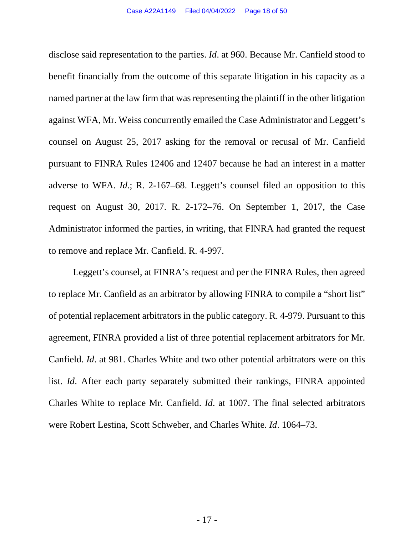<span id="page-17-0"></span>disclose said representation to the parties. *Id*. at 960. Because Mr. Canfield stood to benefit financially from the outcome of this separate litigation in his capacity as a named partner at the law firm that was representing the plaintiff in the other litigation against WFA, Mr. Weiss concurrently emailed the Case Administrator and Leggett's counsel on August 25, 2017 asking for the removal or recusal of Mr. Canfield pursuant to FINRA Rules 12406 and 12407 because he had an interest in a matter adverse to WFA. *Id*.; R. 2-167–68. Leggett's counsel filed an opposition to this request on August 30, 2017. R. 2-172–76. On September 1, 2017, the Case Administrator informed the parties, in writing, that FINRA had granted the request to remove and replace Mr. Canfield. R. 4-997.

Leggett's counsel, at FINRA's request and per the FINRA Rules, then agreed to replace Mr. Canfield as an arbitrator by allowing FINRA to compile a "short list" of potential replacement arbitrators in the public category. R. 4-979. Pursuant to this agreement, FINRA provided a list of three potential replacement arbitrators for Mr. Canfield. *Id*. at 981. Charles White and two other potential arbitrators were on this list. *Id*. After each party separately submitted their rankings, FINRA appointed Charles White to replace Mr. Canfield. *Id*. at 1007. The final selected arbitrators were Robert Lestina, Scott Schweber, and Charles White. *Id*. 1064–73.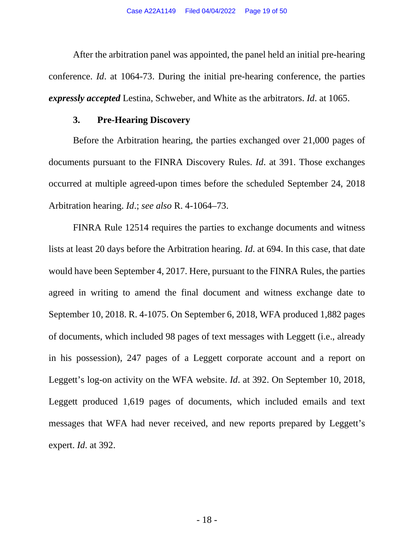After the arbitration panel was appointed, the panel held an initial pre-hearing conference. *Id*. at 1064-73. During the initial pre-hearing conference, the parties *expressly accepted* Lestina, Schweber, and White as the arbitrators. *Id*. at 1065.

#### <span id="page-18-0"></span>**3. Pre-Hearing Discovery**

Before the Arbitration hearing, the parties exchanged over 21,000 pages of documents pursuant to the FINRA Discovery Rules. *Id*. at 391. Those exchanges occurred at multiple agreed-upon times before the scheduled September 24, 2018 Arbitration hearing. *Id*.; *see also* R. 4-1064–73.

<span id="page-18-1"></span>FINRA Rule 12514 requires the parties to exchange documents and witness lists at least 20 days before the Arbitration hearing. *Id*. at 694. In this case, that date would have been September 4, 2017. Here, pursuant to the FINRA Rules, the parties agreed in writing to amend the final document and witness exchange date to September 10, 2018. R. 4-1075. On September 6, 2018, WFA produced 1,882 pages of documents, which included 98 pages of text messages with Leggett (i.e., already in his possession), 247 pages of a Leggett corporate account and a report on Leggett's log-on activity on the WFA website. *Id*. at 392. On September 10, 2018, Leggett produced 1,619 pages of documents, which included emails and text messages that WFA had never received, and new reports prepared by Leggett's expert. *Id*. at 392.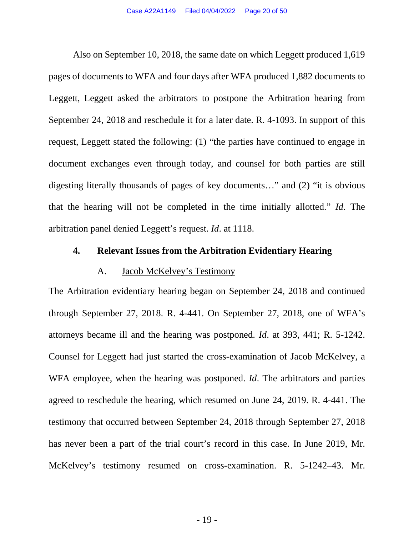Also on September 10, 2018, the same date on which Leggett produced 1,619 pages of documents to WFA and four days after WFA produced 1,882 documents to Leggett, Leggett asked the arbitrators to postpone the Arbitration hearing from September 24, 2018 and reschedule it for a later date. R. 4-1093. In support of this request, Leggett stated the following: (1) "the parties have continued to engage in document exchanges even through today, and counsel for both parties are still digesting literally thousands of pages of key documents…" and (2) "it is obvious that the hearing will not be completed in the time initially allotted." *Id*. The arbitration panel denied Leggett's request. *Id*. at 1118.

#### <span id="page-19-1"></span><span id="page-19-0"></span>**4. Relevant Issues from the Arbitration Evidentiary Hearing**

#### A. Jacob McKelvey's Testimony

The Arbitration evidentiary hearing began on September 24, 2018 and continued through September 27, 2018. R. 4-441. On September 27, 2018, one of WFA's attorneys became ill and the hearing was postponed. *Id*. at 393, 441; R. 5-1242. Counsel for Leggett had just started the cross-examination of Jacob McKelvey, a WFA employee, when the hearing was postponed. *Id*. The arbitrators and parties agreed to reschedule the hearing, which resumed on June 24, 2019. R. 4-441. The testimony that occurred between September 24, 2018 through September 27, 2018 has never been a part of the trial court's record in this case. In June 2019, Mr. McKelvey's testimony resumed on cross-examination. R. 5-1242–43. Mr.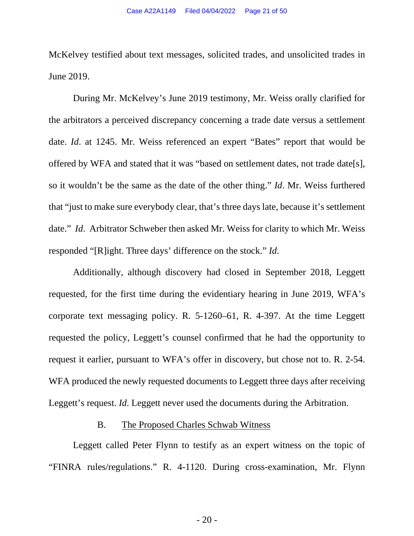McKelvey testified about text messages, solicited trades, and unsolicited trades in June 2019.

During Mr. McKelvey's June 2019 testimony, Mr. Weiss orally clarified for the arbitrators a perceived discrepancy concerning a trade date versus a settlement date. *Id*. at 1245. Mr. Weiss referenced an expert "Bates" report that would be offered by WFA and stated that it was "based on settlement dates, not trade date[s], so it wouldn't be the same as the date of the other thing." *Id*. Mr. Weiss furthered that "just to make sure everybody clear, that's three days late, because it's settlement date." *Id*. Arbitrator Schweber then asked Mr. Weiss for clarity to which Mr. Weiss responded "[R]ight. Three days' difference on the stock." *Id*.

Additionally, although discovery had closed in September 2018, Leggett requested, for the first time during the evidentiary hearing in June 2019, WFA's corporate text messaging policy. R. 5-1260–61, R. 4-397. At the time Leggett requested the policy, Leggett's counsel confirmed that he had the opportunity to request it earlier, pursuant to WFA's offer in discovery, but chose not to. R. 2-54. WFA produced the newly requested documents to Leggett three days after receiving Leggett's request. *Id*. Leggett never used the documents during the Arbitration.

#### <span id="page-20-0"></span>B. The Proposed Charles Schwab Witness

Leggett called Peter Flynn to testify as an expert witness on the topic of "FINRA rules/regulations." R. 4-1120. During cross-examination, Mr. Flynn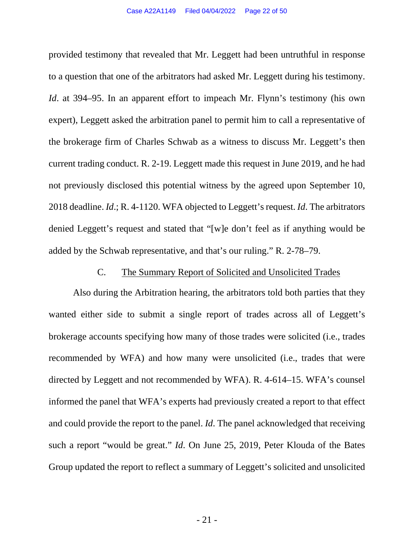provided testimony that revealed that Mr. Leggett had been untruthful in response to a question that one of the arbitrators had asked Mr. Leggett during his testimony. *Id.* at 394–95. In an apparent effort to impeach Mr. Flynn's testimony (his own expert), Leggett asked the arbitration panel to permit him to call a representative of the brokerage firm of Charles Schwab as a witness to discuss Mr. Leggett's then current trading conduct. R. 2-19. Leggett made this request in June 2019, and he had not previously disclosed this potential witness by the agreed upon September 10, 2018 deadline. *Id*.; R. 4-1120. WFA objected to Leggett's request. *Id*. The arbitrators denied Leggett's request and stated that "[w]e don't feel as if anything would be added by the Schwab representative, and that's our ruling." R. 2-78–79.

#### <span id="page-21-0"></span>C. The Summary Report of Solicited and Unsolicited Trades

Also during the Arbitration hearing, the arbitrators told both parties that they wanted either side to submit a single report of trades across all of Leggett's brokerage accounts specifying how many of those trades were solicited (i.e., trades recommended by WFA) and how many were unsolicited (i.e., trades that were directed by Leggett and not recommended by WFA). R. 4-614–15. WFA's counsel informed the panel that WFA's experts had previously created a report to that effect and could provide the report to the panel. *Id*. The panel acknowledged that receiving such a report "would be great." *Id*. On June 25, 2019, Peter Klouda of the Bates Group updated the report to reflect a summary of Leggett's solicited and unsolicited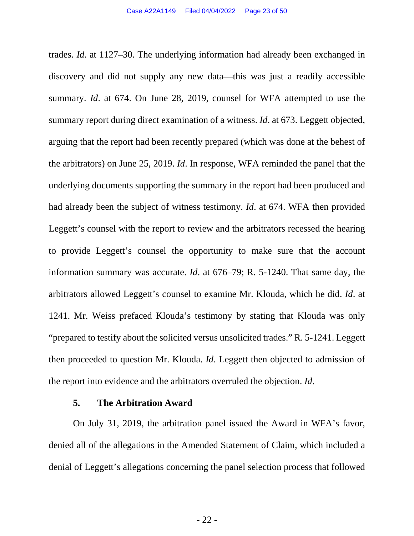trades. *Id*. at 1127–30. The underlying information had already been exchanged in discovery and did not supply any new data—this was just a readily accessible summary. *Id*. at 674. On June 28, 2019, counsel for WFA attempted to use the summary report during direct examination of a witness. *Id*. at 673. Leggett objected, arguing that the report had been recently prepared (which was done at the behest of the arbitrators) on June 25, 2019. *Id*. In response, WFA reminded the panel that the underlying documents supporting the summary in the report had been produced and had already been the subject of witness testimony. *Id*. at 674. WFA then provided Leggett's counsel with the report to review and the arbitrators recessed the hearing to provide Leggett's counsel the opportunity to make sure that the account information summary was accurate. *Id*. at 676–79; R. 5-1240. That same day, the arbitrators allowed Leggett's counsel to examine Mr. Klouda, which he did. *Id*. at 1241. Mr. Weiss prefaced Klouda's testimony by stating that Klouda was only "prepared to testify about the solicited versus unsolicited trades." R. 5-1241. Leggett then proceeded to question Mr. Klouda. *Id*. Leggett then objected to admission of the report into evidence and the arbitrators overruled the objection. *Id*.

#### <span id="page-22-0"></span>**5. The Arbitration Award**

On July 31, 2019, the arbitration panel issued the Award in WFA's favor, denied all of the allegations in the Amended Statement of Claim, which included a denial of Leggett's allegations concerning the panel selection process that followed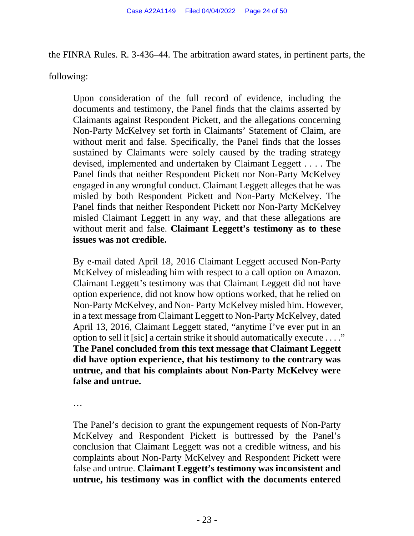the FINRA Rules. R. 3-436–44. The arbitration award states, in pertinent parts, the

following:

Upon consideration of the full record of evidence, including the documents and testimony, the Panel finds that the claims asserted by Claimants against Respondent Pickett, and the allegations concerning Non-Party McKelvey set forth in Claimants' Statement of Claim, are without merit and false. Specifically, the Panel finds that the losses sustained by Claimants were solely caused by the trading strategy devised, implemented and undertaken by Claimant Leggett . . . . The Panel finds that neither Respondent Pickett nor Non-Party McKelvey engaged in any wrongful conduct. Claimant Leggett alleges that he was misled by both Respondent Pickett and Non-Party McKelvey. The Panel finds that neither Respondent Pickett nor Non-Party McKelvey misled Claimant Leggett in any way, and that these allegations are without merit and false. **Claimant Leggett's testimony as to these issues was not credible.** 

By e-mail dated April 18, 2016 Claimant Leggett accused Non-Party McKelvey of misleading him with respect to a call option on Amazon. Claimant Leggett's testimony was that Claimant Leggett did not have option experience, did not know how options worked, that he relied on Non-Party McKelvey, and Non- Party McKelvey misled him. However, in a text message from Claimant Leggett to Non-Party McKelvey, dated April 13, 2016, Claimant Leggett stated, "anytime I've ever put in an option to sell it [sic] a certain strike it should automatically execute . . . ." **The Panel concluded from this text message that Claimant Leggett did have option experience, that his testimony to the contrary was untrue, and that his complaints about Non-Party McKelvey were false and untrue.** 

…

The Panel's decision to grant the expungement requests of Non-Party McKelvey and Respondent Pickett is buttressed by the Panel's conclusion that Claimant Leggett was not a credible witness, and his complaints about Non-Party McKelvey and Respondent Pickett were false and untrue. **Claimant Leggett's testimony was inconsistent and untrue, his testimony was in conflict with the documents entered**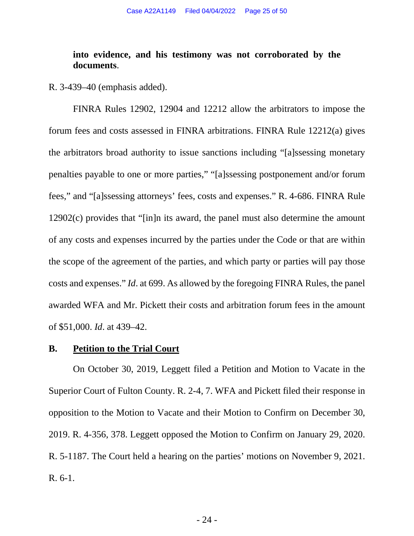## <span id="page-24-2"></span><span id="page-24-1"></span>**into evidence, and his testimony was not corroborated by the documents**.

R. 3-439–40 (emphasis added).

FINRA Rules 12902, 12904 and 12212 allow the arbitrators to impose the forum fees and costs assessed in FINRA arbitrations. FINRA Rule 12212(a) gives the arbitrators broad authority to issue sanctions including "[a]ssessing monetary penalties payable to one or more parties," "[a]ssessing postponement and/or forum fees," and "[a]ssessing attorneys' fees, costs and expenses." R. 4-686. FINRA Rule 12902(c) provides that "[in]n its award, the panel must also determine the amount of any costs and expenses incurred by the parties under the Code or that are within the scope of the agreement of the parties, and which party or parties will pay those costs and expenses." *Id*. at 699. As allowed by the foregoing FINRA Rules, the panel awarded WFA and Mr. Pickett their costs and arbitration forum fees in the amount of \$51,000. *Id*. at 439–42.

#### <span id="page-24-0"></span>**B. Petition to the Trial Court**

On October 30, 2019, Leggett filed a Petition and Motion to Vacate in the Superior Court of Fulton County. R. 2-4, 7. WFA and Pickett filed their response in opposition to the Motion to Vacate and their Motion to Confirm on December 30, 2019. R. 4-356, 378. Leggett opposed the Motion to Confirm on January 29, 2020. R. 5-1187. The Court held a hearing on the parties' motions on November 9, 2021. R. 6-1.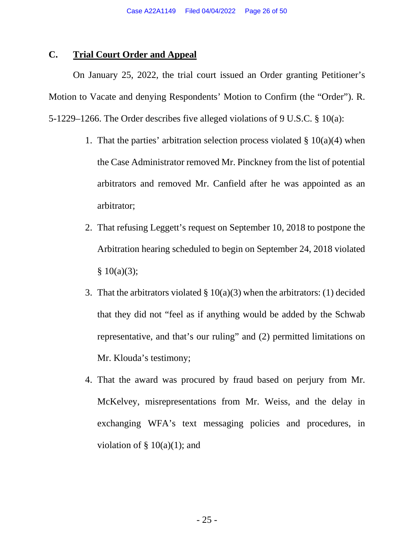### <span id="page-25-0"></span>**C. Trial Court Order and Appeal**

On January 25, 2022, the trial court issued an Order granting Petitioner's Motion to Vacate and denying Respondents' Motion to Confirm (the "Order"). R. 5-1229–1266. The Order describes five alleged violations of 9 U.S.C. § 10(a):

- 1. That the parties' arbitration selection process violated  $\S 10(a)(4)$  when the Case Administrator removed Mr. Pinckney from the list of potential arbitrators and removed Mr. Canfield after he was appointed as an arbitrator;
- 2. That refusing Leggett's request on September 10, 2018 to postpone the Arbitration hearing scheduled to begin on September 24, 2018 violated  $§ 10(a)(3);$
- 3. That the arbitrators violated  $\S 10(a)(3)$  when the arbitrators: (1) decided that they did not "feel as if anything would be added by the Schwab representative, and that's our ruling" and (2) permitted limitations on Mr. Klouda's testimony;
- 4. That the award was procured by fraud based on perjury from Mr. McKelvey, misrepresentations from Mr. Weiss, and the delay in exchanging WFA's text messaging policies and procedures, in violation of  $\S$  10(a)(1); and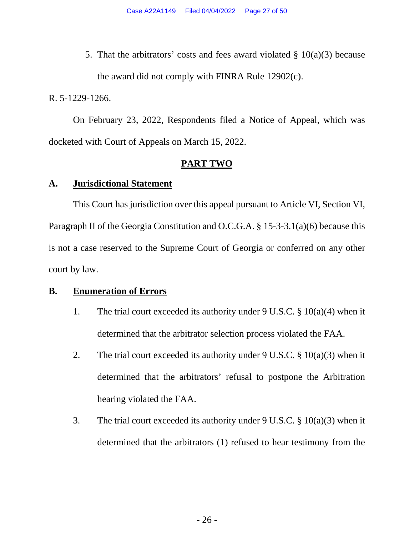5. That the arbitrators' costs and fees award violated  $\S$  10(a)(3) because the award did not comply with FINRA Rule 12902(c).

R. 5-1229-1266.

On February 23, 2022, Respondents filed a Notice of Appeal, which was docketed with Court of Appeals on March 15, 2022.

#### <span id="page-26-4"></span><span id="page-26-3"></span>**PART TWO**

#### <span id="page-26-1"></span><span id="page-26-0"></span>**A. Jurisdictional Statement**

This Court has jurisdiction over this appeal pursuant to Article VI, Section VI, Paragraph II of the Georgia Constitution and O.C.G.A. § 15-3-3.1(a)(6) because this is not a case reserved to the Supreme Court of Georgia or conferred on any other court by law.

### <span id="page-26-2"></span>**B. Enumeration of Errors**

- 1. The trial court exceeded its authority under 9 U.S.C.  $\S 10(a)(4)$  when it determined that the arbitrator selection process violated the FAA.
- 2. The trial court exceeded its authority under 9 U.S.C.  $\S$  10(a)(3) when it determined that the arbitrators' refusal to postpone the Arbitration hearing violated the FAA.
- 3. The trial court exceeded its authority under 9 U.S.C. § 10(a)(3) when it determined that the arbitrators (1) refused to hear testimony from the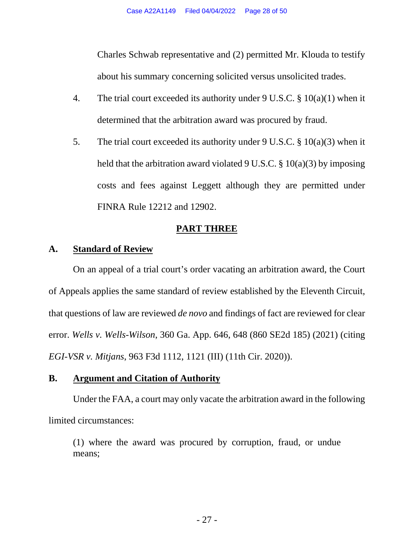Charles Schwab representative and (2) permitted Mr. Klouda to testify about his summary concerning solicited versus unsolicited trades.

- 4. The trial court exceeded its authority under 9 U.S.C. § 10(a)(1) when it determined that the arbitration award was procured by fraud.
- 5. The trial court exceeded its authority under 9 U.S.C. § 10(a)(3) when it held that the arbitration award violated 9 U.S.C.  $\S$  10(a)(3) by imposing costs and fees against Leggett although they are permitted under FINRA Rule 12212 and 12902.

### <span id="page-27-0"></span>**PART THREE**

### <span id="page-27-1"></span>**A. Standard of Review**

On an appeal of a trial court's order vacating an arbitration award, the Court of Appeals applies the same standard of review established by the Eleventh Circuit, that questions of law are reviewed *de novo* and findings of fact are reviewed for clear error. *Wells v. Wells-Wilson*, 360 Ga. App. 646, 648 (860 SE2d 185) (2021) (citing *EGI-VSR v. Mitjans*, 963 F3d 1112, 1121 (III) (11th Cir. 2020)).

#### <span id="page-27-3"></span><span id="page-27-2"></span>**B. Argument and Citation of Authority**

Under the FAA, a court may only vacate the arbitration award in the following limited circumstances:

(1) where the award was procured by corruption, fraud, or undue means;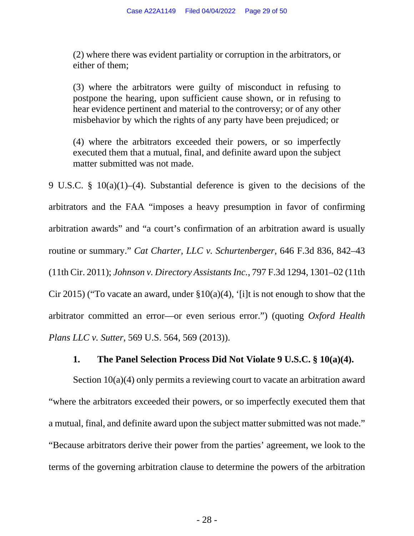(2) where there was evident partiality or corruption in the arbitrators, or either of them;

(3) where the arbitrators were guilty of misconduct in refusing to postpone the hearing, upon sufficient cause shown, or in refusing to hear evidence pertinent and material to the controversy; or of any other misbehavior by which the rights of any party have been prejudiced; or

(4) where the arbitrators exceeded their powers, or so imperfectly executed them that a mutual, final, and definite award upon the subject matter submitted was not made.

<span id="page-28-3"></span><span id="page-28-2"></span><span id="page-28-1"></span>9 U.S.C. § 10(a)(1)–(4). Substantial deference is given to the decisions of the arbitrators and the FAA "imposes a heavy presumption in favor of confirming arbitration awards" and "a court's confirmation of an arbitration award is usually routine or summary." *Cat Charter, LLC v. Schurtenberger*, 646 F.3d 836, 842–43 (11th Cir. 2011); *Johnson v. Directory Assistants Inc.*, 797 F.3d 1294, 1301–02 (11th Cir 2015) ("To vacate an award, under  $\S10(a)(4)$ , '[i]t is not enough to show that the arbitrator committed an error—or even serious error.") (quoting *Oxford Health Plans LLC v. Sutter*, 569 U.S. 564, 569 (2013)).

#### <span id="page-28-0"></span>**1. The Panel Selection Process Did Not Violate 9 U.S.C. § 10(a)(4).**

Section 10(a)(4) only permits a reviewing court to vacate an arbitration award "where the arbitrators exceeded their powers, or so imperfectly executed them that a mutual, final, and definite award upon the subject matter submitted was not made." "Because arbitrators derive their power from the parties' agreement, we look to the terms of the governing arbitration clause to determine the powers of the arbitration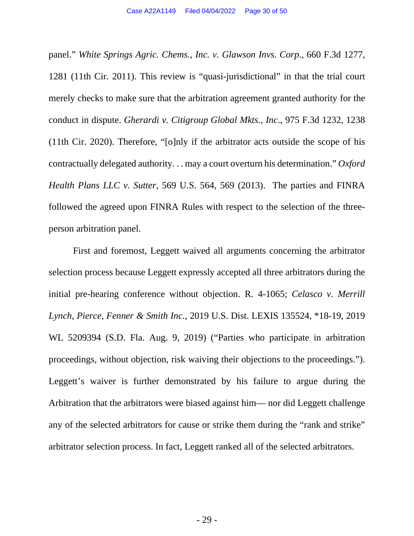<span id="page-29-3"></span><span id="page-29-1"></span>panel." *White Springs Agric. Chems., Inc. v. Glawson Invs. Corp*., 660 F.3d 1277, 1281 (11th Cir. 2011). This review is "quasi-jurisdictional" in that the trial court merely checks to make sure that the arbitration agreement granted authority for the conduct in dispute. *Gherardi v. Citigroup Global Mkts., Inc*., 975 F.3d 1232, 1238 (11th Cir. 2020). Therefore, "[o]nly if the arbitrator acts outside the scope of his contractually delegated authority. . . may a court overturn his determination." *Oxford Health Plans LLC v. Sutter*, 569 U.S. 564, 569 (2013). The parties and FINRA followed the agreed upon FINRA Rules with respect to the selection of the threeperson arbitration panel.

<span id="page-29-2"></span><span id="page-29-0"></span>First and foremost, Leggett waived all arguments concerning the arbitrator selection process because Leggett expressly accepted all three arbitrators during the initial pre-hearing conference without objection. R. 4-1065; *Celasco v. Merrill Lynch, Pierce, Fenner & Smith Inc.*, 2019 U.S. Dist. LEXIS 135524, \*18-19, 2019 WL 5209394 (S.D. Fla. Aug. 9, 2019) ("Parties who participate in arbitration proceedings, without objection, risk waiving their objections to the proceedings."). Leggett's waiver is further demonstrated by his failure to argue during the Arbitration that the arbitrators were biased against him— nor did Leggett challenge any of the selected arbitrators for cause or strike them during the "rank and strike" arbitrator selection process. In fact, Leggett ranked all of the selected arbitrators.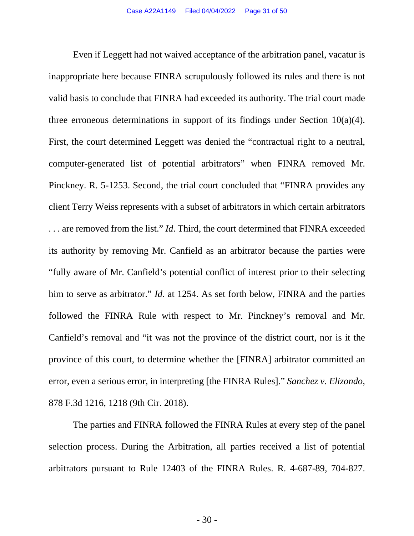Even if Leggett had not waived acceptance of the arbitration panel, vacatur is inappropriate here because FINRA scrupulously followed its rules and there is not valid basis to conclude that FINRA had exceeded its authority. The trial court made three erroneous determinations in support of its findings under Section  $10(a)(4)$ . First, the court determined Leggett was denied the "contractual right to a neutral, computer-generated list of potential arbitrators" when FINRA removed Mr. Pinckney. R. 5-1253. Second, the trial court concluded that "FINRA provides any client Terry Weiss represents with a subset of arbitrators in which certain arbitrators . . . are removed from the list." *Id*. Third, the court determined that FINRA exceeded its authority by removing Mr. Canfield as an arbitrator because the parties were "fully aware of Mr. Canfield's potential conflict of interest prior to their selecting him to serve as arbitrator." *Id*. at 1254. As set forth below, FINRA and the parties followed the FINRA Rule with respect to Mr. Pinckney's removal and Mr. Canfield's removal and "it was not the province of the district court, nor is it the province of this court, to determine whether the [FINRA] arbitrator committed an error, even a serious error, in interpreting [the FINRA Rules]." *Sanchez v. Elizondo*, 878 F.3d 1216, 1218 (9th Cir. 2018).

<span id="page-30-0"></span>The parties and FINRA followed the FINRA Rules at every step of the panel selection process. During the Arbitration, all parties received a list of potential arbitrators pursuant to Rule 12403 of the FINRA Rules. R. 4-687-89, 704-827.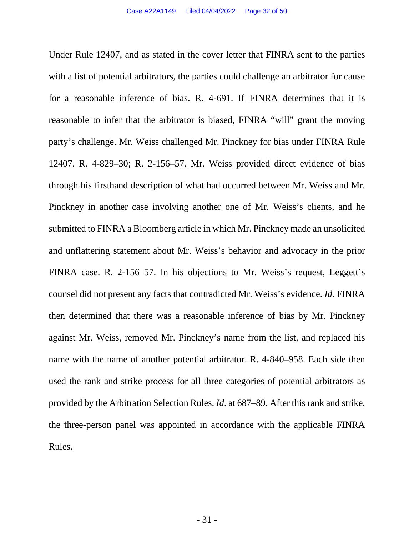<span id="page-31-0"></span>Under Rule 12407, and as stated in the cover letter that FINRA sent to the parties with a list of potential arbitrators, the parties could challenge an arbitrator for cause for a reasonable inference of bias. R. 4-691. If FINRA determines that it is reasonable to infer that the arbitrator is biased, FINRA "will" grant the moving party's challenge. Mr. Weiss challenged Mr. Pinckney for bias under FINRA Rule 12407. R. 4-829–30; R. 2-156–57. Mr. Weiss provided direct evidence of bias through his firsthand description of what had occurred between Mr. Weiss and Mr. Pinckney in another case involving another one of Mr. Weiss's clients, and he submitted to FINRA a Bloomberg article in which Mr. Pinckney made an unsolicited and unflattering statement about Mr. Weiss's behavior and advocacy in the prior FINRA case. R. 2-156–57. In his objections to Mr. Weiss's request, Leggett's counsel did not present any facts that contradicted Mr. Weiss's evidence. *Id*. FINRA then determined that there was a reasonable inference of bias by Mr. Pinckney against Mr. Weiss, removed Mr. Pinckney's name from the list, and replaced his name with the name of another potential arbitrator. R. 4-840–958. Each side then used the rank and strike process for all three categories of potential arbitrators as provided by the Arbitration Selection Rules. *Id*. at 687–89. After this rank and strike, the three-person panel was appointed in accordance with the applicable FINRA Rules.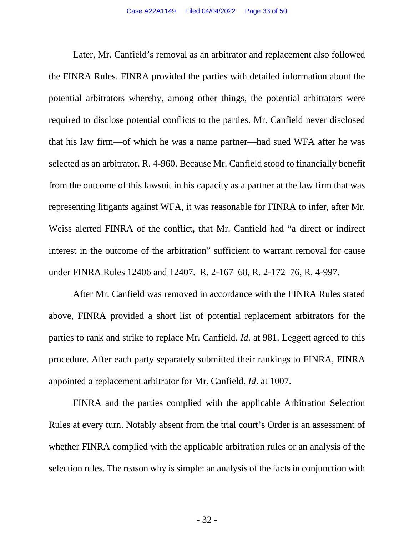Later, Mr. Canfield's removal as an arbitrator and replacement also followed the FINRA Rules. FINRA provided the parties with detailed information about the potential arbitrators whereby, among other things, the potential arbitrators were required to disclose potential conflicts to the parties. Mr. Canfield never disclosed that his law firm—of which he was a name partner—had sued WFA after he was selected as an arbitrator. R. 4-960. Because Mr. Canfield stood to financially benefit from the outcome of this lawsuit in his capacity as a partner at the law firm that was representing litigants against WFA, it was reasonable for FINRA to infer, after Mr. Weiss alerted FINRA of the conflict, that Mr. Canfield had "a direct or indirect interest in the outcome of the arbitration" sufficient to warrant removal for cause under FINRA Rules 12406 and 12407. R. 2-167–68, R. 2-172–76, R. 4-997.

<span id="page-32-0"></span>After Mr. Canfield was removed in accordance with the FINRA Rules stated above, FINRA provided a short list of potential replacement arbitrators for the parties to rank and strike to replace Mr. Canfield. *Id*. at 981. Leggett agreed to this procedure. After each party separately submitted their rankings to FINRA, FINRA appointed a replacement arbitrator for Mr. Canfield. *Id*. at 1007.

FINRA and the parties complied with the applicable Arbitration Selection Rules at every turn. Notably absent from the trial court's Order is an assessment of whether FINRA complied with the applicable arbitration rules or an analysis of the selection rules. The reason why is simple: an analysis of the facts in conjunction with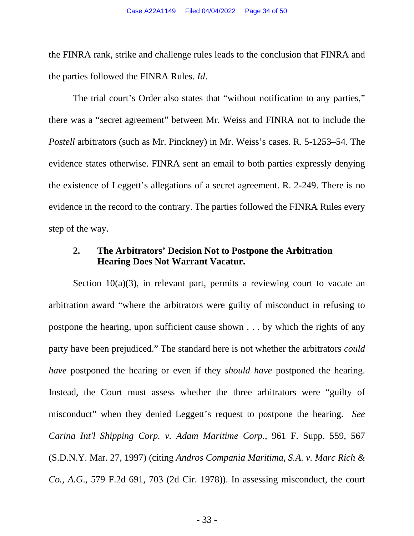the FINRA rank, strike and challenge rules leads to the conclusion that FINRA and the parties followed the FINRA Rules. *Id*.

The trial court's Order also states that "without notification to any parties," there was a "secret agreement" between Mr. Weiss and FINRA not to include the *Postell* arbitrators (such as Mr. Pinckney) in Mr. Weiss's cases. R. 5-1253–54. The evidence states otherwise. FINRA sent an email to both parties expressly denying the existence of Leggett's allegations of a secret agreement. R. 2-249. There is no evidence in the record to the contrary. The parties followed the FINRA Rules every step of the way.

## <span id="page-33-2"></span><span id="page-33-0"></span>**2. The Arbitrators' Decision Not to Postpone the Arbitration Hearing Does Not Warrant Vacatur.**

<span id="page-33-1"></span>Section  $10(a)(3)$ , in relevant part, permits a reviewing court to vacate an arbitration award "where the arbitrators were guilty of misconduct in refusing to postpone the hearing, upon sufficient cause shown . . . by which the rights of any party have been prejudiced." The standard here is not whether the arbitrators *could have* postponed the hearing or even if they *should have* postponed the hearing. Instead, the Court must assess whether the three arbitrators were "guilty of misconduct" when they denied Leggett's request to postpone the hearing. *See Carina Int'l Shipping Corp. v. Adam Maritime Corp*., 961 F. Supp. 559, 567 (S.D.N.Y. Mar. 27, 1997) (citing *Andros Compania Maritima, S.A. v. Marc Rich & Co., A.G*., 579 F.2d 691, 703 (2d Cir. 1978)). In assessing misconduct, the court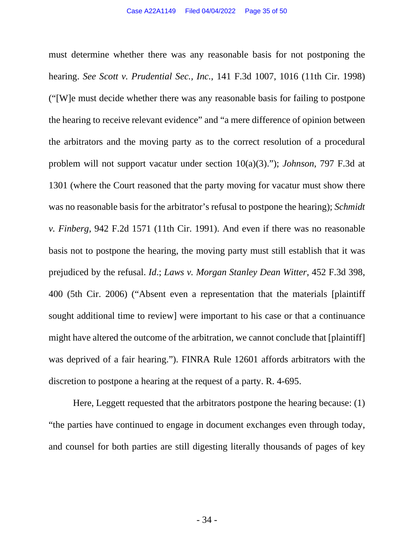<span id="page-34-3"></span><span id="page-34-2"></span><span id="page-34-0"></span>must determine whether there was any reasonable basis for not postponing the hearing. *See Scott v. Prudential Sec., Inc.*, 141 F.3d 1007, 1016 (11th Cir. 1998) ("[W]e must decide whether there was any reasonable basis for failing to postpone the hearing to receive relevant evidence" and "a mere difference of opinion between the arbitrators and the moving party as to the correct resolution of a procedural problem will not support vacatur under section 10(a)(3)."); *Johnson*, 797 F.3d at 1301 (where the Court reasoned that the party moving for vacatur must show there was no reasonable basis for the arbitrator's refusal to postpone the hearing); *Schmidt v. Finberg*, 942 F.2d 1571 (11th Cir. 1991). And even if there was no reasonable basis not to postpone the hearing, the moving party must still establish that it was prejudiced by the refusal. *Id*.; *Laws v. Morgan Stanley Dean Witter*, 452 F.3d 398, 400 (5th Cir. 2006) ("Absent even a representation that the materials [plaintiff sought additional time to review] were important to his case or that a continuance might have altered the outcome of the arbitration, we cannot conclude that [plaintiff] was deprived of a fair hearing."). FINRA Rule 12601 affords arbitrators with the discretion to postpone a hearing at the request of a party. R. 4-695.

<span id="page-34-4"></span><span id="page-34-1"></span>Here, Leggett requested that the arbitrators postpone the hearing because: (1) "the parties have continued to engage in document exchanges even through today, and counsel for both parties are still digesting literally thousands of pages of key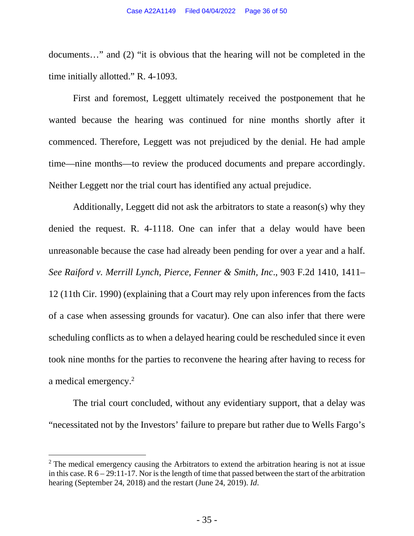documents…" and (2) "it is obvious that the hearing will not be completed in the time initially allotted." R. 4-1093.

First and foremost, Leggett ultimately received the postponement that he wanted because the hearing was continued for nine months shortly after it commenced. Therefore, Leggett was not prejudiced by the denial. He had ample time—nine months—to review the produced documents and prepare accordingly. Neither Leggett nor the trial court has identified any actual prejudice.

<span id="page-35-0"></span>Additionally, Leggett did not ask the arbitrators to state a reason(s) why they denied the request. R. 4-1118. One can infer that a delay would have been unreasonable because the case had already been pending for over a year and a half. *See Raiford v. Merrill Lynch, Pierce, Fenner & Smith, Inc*., 903 F.2d 1410, 1411– 12 (11th Cir. 1990) (explaining that a Court may rely upon inferences from the facts of a case when assessing grounds for vacatur). One can also infer that there were scheduling conflicts as to when a delayed hearing could be rescheduled since it even took nine months for the parties to reconvene the hearing after having to recess for a medical emergency.[2](#page-35-1)

The trial court concluded, without any evidentiary support, that a delay was "necessitated not by the Investors' failure to prepare but rather due to Wells Fargo's

<span id="page-35-1"></span> $2$  The medical emergency causing the Arbitrators to extend the arbitration hearing is not at issue in this case.  $R_0 - 29:11-17$ . Nor is the length of time that passed between the start of the arbitration hearing (September 24, 2018) and the restart (June 24, 2019). *Id*.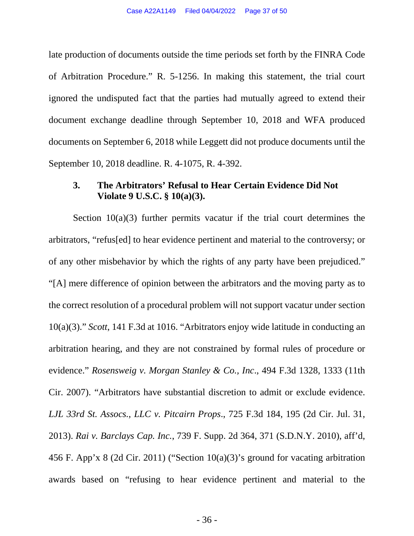late production of documents outside the time periods set forth by the FINRA Code of Arbitration Procedure." R. 5-1256. In making this statement, the trial court ignored the undisputed fact that the parties had mutually agreed to extend their document exchange deadline through September 10, 2018 and WFA produced documents on September 6, 2018 while Leggett did not produce documents until the September 10, 2018 deadline. R. 4-1075, R. 4-392.

## <span id="page-36-5"></span><span id="page-36-0"></span>**3. The Arbitrators' Refusal to Hear Certain Evidence Did Not Violate 9 U.S.C. § 10(a)(3).**

<span id="page-36-4"></span><span id="page-36-3"></span><span id="page-36-2"></span><span id="page-36-1"></span>Section 10(a)(3) further permits vacatur if the trial court determines the arbitrators, "refus[ed] to hear evidence pertinent and material to the controversy; or of any other misbehavior by which the rights of any party have been prejudiced." "[A] mere difference of opinion between the arbitrators and the moving party as to the correct resolution of a procedural problem will not support vacatur under section 10(a)(3)." *Scott*, 141 F.3d at 1016. "Arbitrators enjoy wide latitude in conducting an arbitration hearing, and they are not constrained by formal rules of procedure or evidence." *Rosensweig v. Morgan Stanley & Co., Inc*., 494 F.3d 1328, 1333 (11th Cir. 2007). "Arbitrators have substantial discretion to admit or exclude evidence. *LJL 33rd St. Assocs., LLC v. Pitcairn Props*., 725 F.3d 184, 195 (2d Cir. Jul. 31, 2013). *Rai v. Barclays Cap. Inc.*, 739 F. Supp. 2d 364, 371 (S.D.N.Y. 2010), aff'd, 456 F. App'x 8 (2d Cir. 2011) ("Section 10(a)(3)'s ground for vacating arbitration awards based on "refusing to hear evidence pertinent and material to the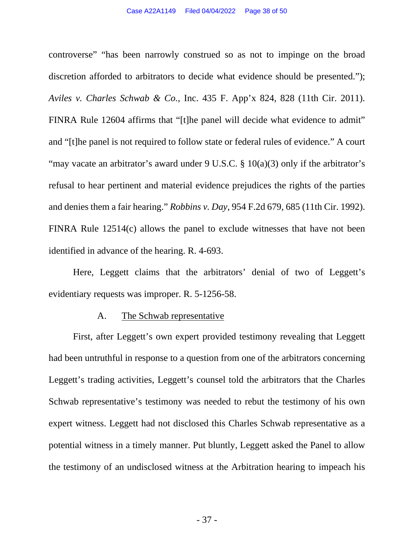<span id="page-37-4"></span><span id="page-37-1"></span>controverse" "has been narrowly construed so as not to impinge on the broad discretion afforded to arbitrators to decide what evidence should be presented."); *Aviles v. Charles Schwab & Co.*, Inc. 435 F. App'x 824, 828 (11th Cir. 2011). FINRA Rule 12604 affirms that "[t]he panel will decide what evidence to admit" and "[t]he panel is not required to follow state or federal rules of evidence." A court "may vacate an arbitrator's award under 9 U.S.C.  $\S$  10(a)(3) only if the arbitrator's refusal to hear pertinent and material evidence prejudices the rights of the parties and denies them a fair hearing." *Robbins v. Day*, 954 F.2d 679, 685 (11th Cir. 1992). FINRA Rule 12514(c) allows the panel to exclude witnesses that have not been identified in advance of the hearing. R. 4-693.

<span id="page-37-3"></span>Here, Leggett claims that the arbitrators' denial of two of Leggett's evidentiary requests was improper. R. 5-1256-58.

#### <span id="page-37-2"></span><span id="page-37-0"></span>A. The Schwab representative

First, after Leggett's own expert provided testimony revealing that Leggett had been untruthful in response to a question from one of the arbitrators concerning Leggett's trading activities, Leggett's counsel told the arbitrators that the Charles Schwab representative's testimony was needed to rebut the testimony of his own expert witness. Leggett had not disclosed this Charles Schwab representative as a potential witness in a timely manner. Put bluntly, Leggett asked the Panel to allow the testimony of an undisclosed witness at the Arbitration hearing to impeach his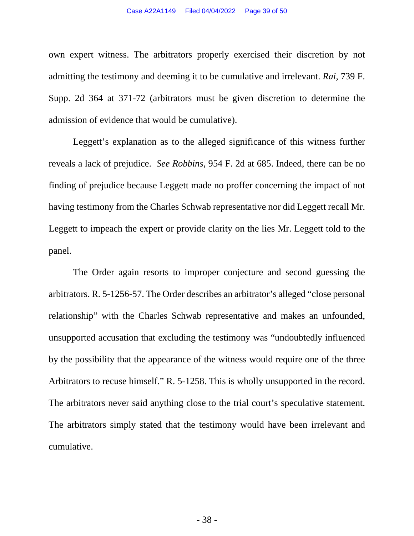<span id="page-38-0"></span>own expert witness. The arbitrators properly exercised their discretion by not admitting the testimony and deeming it to be cumulative and irrelevant. *Rai*, 739 F. Supp. 2d 364 at 371-72 (arbitrators must be given discretion to determine the admission of evidence that would be cumulative).

<span id="page-38-1"></span>Leggett's explanation as to the alleged significance of this witness further reveals a lack of prejudice. *See Robbins*, 954 F. 2d at 685. Indeed, there can be no finding of prejudice because Leggett made no proffer concerning the impact of not having testimony from the Charles Schwab representative nor did Leggett recall Mr. Leggett to impeach the expert or provide clarity on the lies Mr. Leggett told to the panel.

The Order again resorts to improper conjecture and second guessing the arbitrators. R. 5-1256-57. The Order describes an arbitrator's alleged "close personal relationship" with the Charles Schwab representative and makes an unfounded, unsupported accusation that excluding the testimony was "undoubtedly influenced by the possibility that the appearance of the witness would require one of the three Arbitrators to recuse himself." R. 5-1258. This is wholly unsupported in the record. The arbitrators never said anything close to the trial court's speculative statement. The arbitrators simply stated that the testimony would have been irrelevant and cumulative.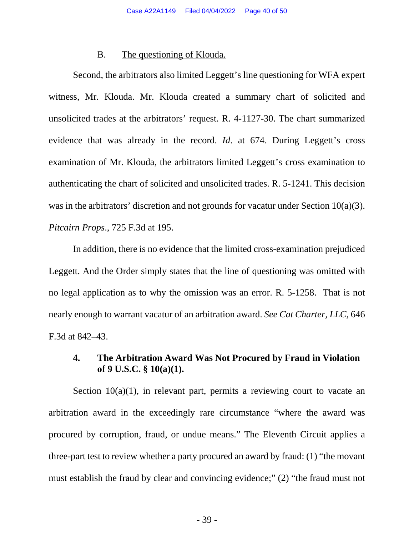#### <span id="page-39-0"></span>B. The questioning of Klouda.

Second, the arbitrators also limited Leggett's line questioning for WFA expert witness, Mr. Klouda. Mr. Klouda created a summary chart of solicited and unsolicited trades at the arbitrators' request. R. 4-1127-30. The chart summarized evidence that was already in the record. *Id*. at 674. During Leggett's cross examination of Mr. Klouda, the arbitrators limited Leggett's cross examination to authenticating the chart of solicited and unsolicited trades. R. 5-1241. This decision was in the arbitrators' discretion and not grounds for vacatur under Section 10(a)(3). *Pitcairn Props*., 725 F.3d at 195.

<span id="page-39-3"></span>In addition, there is no evidence that the limited cross-examination prejudiced Leggett. And the Order simply states that the line of questioning was omitted with no legal application as to why the omission was an error. R. 5-1258. That is not nearly enough to warrant vacatur of an arbitration award. *See Cat Charter, LLC*, 646 F.3d at 842–43.

### <span id="page-39-2"></span><span id="page-39-1"></span>**4. The Arbitration Award Was Not Procured by Fraud in Violation of 9 U.S.C. § 10(a)(1).**

Section  $10(a)(1)$ , in relevant part, permits a reviewing court to vacate an arbitration award in the exceedingly rare circumstance "where the award was procured by corruption, fraud, or undue means." The Eleventh Circuit applies a three-part test to review whether a party procured an award by fraud: (1) "the movant must establish the fraud by clear and convincing evidence;" (2) "the fraud must not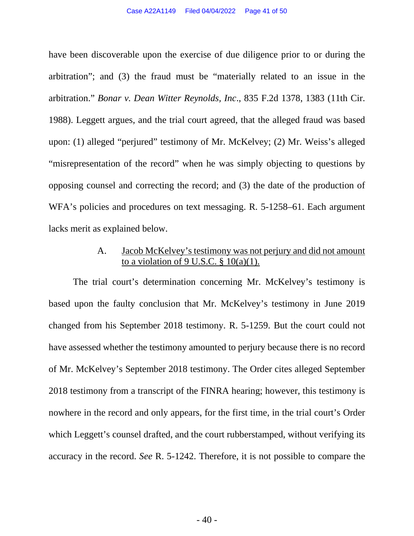<span id="page-40-1"></span>have been discoverable upon the exercise of due diligence prior to or during the arbitration"; and (3) the fraud must be "materially related to an issue in the arbitration." *Bonar v. Dean Witter Reynolds, Inc*., 835 F.2d 1378, 1383 (11th Cir. 1988). Leggett argues, and the trial court agreed, that the alleged fraud was based upon: (1) alleged "perjured" testimony of Mr. McKelvey; (2) Mr. Weiss's alleged "misrepresentation of the record" when he was simply objecting to questions by opposing counsel and correcting the record; and (3) the date of the production of WFA's policies and procedures on text messaging. R. 5-1258–61. Each argument lacks merit as explained below.

# <span id="page-40-0"></span>A. Jacob McKelvey's testimony was not perjury and did not amount to a violation of  $9$  U.S.C.  $§$  10(a)(1).

The trial court's determination concerning Mr. McKelvey's testimony is based upon the faulty conclusion that Mr. McKelvey's testimony in June 2019 changed from his September 2018 testimony. R. 5-1259. But the court could not have assessed whether the testimony amounted to perjury because there is no record of Mr. McKelvey's September 2018 testimony. The Order cites alleged September 2018 testimony from a transcript of the FINRA hearing; however, this testimony is nowhere in the record and only appears, for the first time, in the trial court's Order which Leggett's counsel drafted, and the court rubberstamped, without verifying its accuracy in the record. *See* R. 5-1242. Therefore, it is not possible to compare the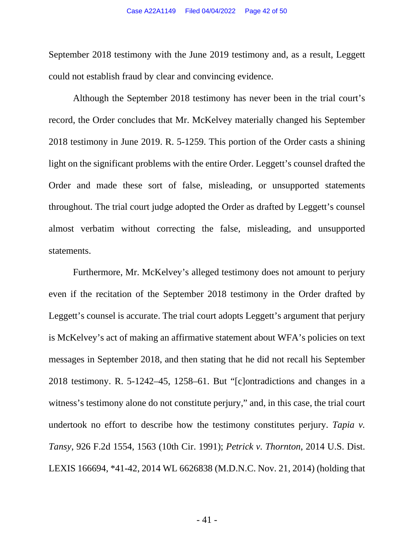September 2018 testimony with the June 2019 testimony and, as a result, Leggett could not establish fraud by clear and convincing evidence.

Although the September 2018 testimony has never been in the trial court's record, the Order concludes that Mr. McKelvey materially changed his September 2018 testimony in June 2019. R. 5-1259. This portion of the Order casts a shining light on the significant problems with the entire Order. Leggett's counsel drafted the Order and made these sort of false, misleading, or unsupported statements throughout. The trial court judge adopted the Order as drafted by Leggett's counsel almost verbatim without correcting the false, misleading, and unsupported statements.

<span id="page-41-1"></span><span id="page-41-0"></span>Furthermore, Mr. McKelvey's alleged testimony does not amount to perjury even if the recitation of the September 2018 testimony in the Order drafted by Leggett's counsel is accurate. The trial court adopts Leggett's argument that perjury is McKelvey's act of making an affirmative statement about WFA's policies on text messages in September 2018, and then stating that he did not recall his September 2018 testimony. R. 5-1242–45, 1258–61. But "[c]ontradictions and changes in a witness's testimony alone do not constitute perjury," and, in this case, the trial court undertook no effort to describe how the testimony constitutes perjury. *Tapia v. Tansy*, 926 F.2d 1554, 1563 (10th Cir. 1991); *Petrick v. Thornton*, 2014 U.S. Dist. LEXIS 166694, \*41-42, 2014 WL 6626838 (M.D.N.C. Nov. 21, 2014) (holding that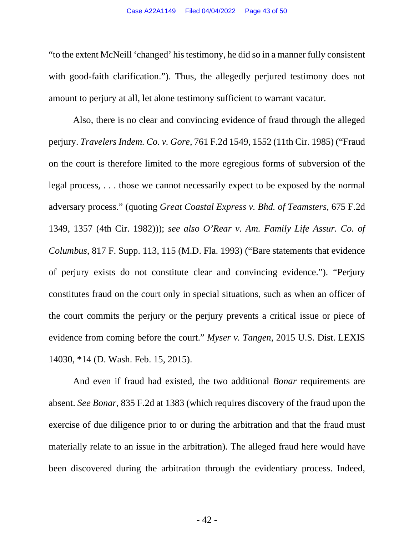"to the extent McNeill 'changed' his testimony, he did so in a manner fully consistent with good-faith clarification."). Thus, the allegedly perjured testimony does not amount to perjury at all, let alone testimony sufficient to warrant vacatur.

<span id="page-42-3"></span><span id="page-42-2"></span>Also, there is no clear and convincing evidence of fraud through the alleged perjury. *Travelers Indem. Co. v. Gore*, 761 F.2d 1549, 1552 (11th Cir. 1985) ("Fraud on the court is therefore limited to the more egregious forms of subversion of the legal process, . . . those we cannot necessarily expect to be exposed by the normal adversary process." (quoting *Great Coastal Express v. Bhd. of Teamsters*, 675 F.2d 1349, 1357 (4th Cir. 1982))); *see also O'Rear v. Am. Family Life Assur. Co. of Columbus*, 817 F. Supp. 113, 115 (M.D. Fla. 1993) ("Bare statements that evidence of perjury exists do not constitute clear and convincing evidence."). "Perjury constitutes fraud on the court only in special situations, such as when an officer of the court commits the perjury or the perjury prevents a critical issue or piece of evidence from coming before the court." *Myser v. Tangen*, 2015 U.S. Dist. LEXIS 14030, \*14 (D. Wash. Feb. 15, 2015).

<span id="page-42-1"></span><span id="page-42-0"></span>And even if fraud had existed, the two additional *Bonar* requirements are absent. *See Bonar*, 835 F.2d at 1383 (which requires discovery of the fraud upon the exercise of due diligence prior to or during the arbitration and that the fraud must materially relate to an issue in the arbitration). The alleged fraud here would have been discovered during the arbitration through the evidentiary process. Indeed,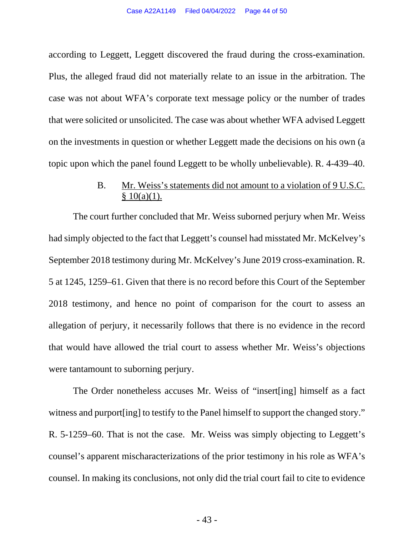according to Leggett, Leggett discovered the fraud during the cross-examination. Plus, the alleged fraud did not materially relate to an issue in the arbitration. The case was not about WFA's corporate text message policy or the number of trades that were solicited or unsolicited. The case was about whether WFA advised Leggett on the investments in question or whether Leggett made the decisions on his own (a topic upon which the panel found Leggett to be wholly unbelievable). R. 4-439–40.

# <span id="page-43-0"></span>B. Mr. Weiss's statements did not amount to a violation of 9 U.S.C.  $§ 10(a)(1).$

The court further concluded that Mr. Weiss suborned perjury when Mr. Weiss had simply objected to the fact that Leggett's counsel had misstated Mr. McKelvey's September 2018 testimony during Mr. McKelvey's June 2019 cross-examination. R. 5 at 1245, 1259–61. Given that there is no record before this Court of the September 2018 testimony, and hence no point of comparison for the court to assess an allegation of perjury, it necessarily follows that there is no evidence in the record that would have allowed the trial court to assess whether Mr. Weiss's objections were tantamount to suborning perjury.

The Order nonetheless accuses Mr. Weiss of "insert[ing] himself as a fact witness and purport [ing] to testify to the Panel himself to support the changed story." R. 5-1259–60. That is not the case. Mr. Weiss was simply objecting to Leggett's counsel's apparent mischaracterizations of the prior testimony in his role as WFA's counsel. In making its conclusions, not only did the trial court fail to cite to evidence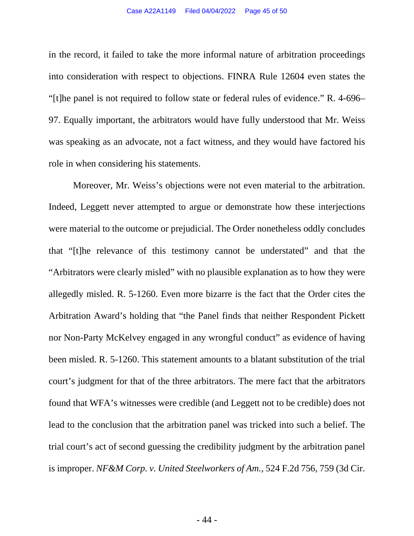<span id="page-44-1"></span>in the record, it failed to take the more informal nature of arbitration proceedings into consideration with respect to objections. FINRA Rule 12604 even states the "[t]he panel is not required to follow state or federal rules of evidence." R. 4-696– 97. Equally important, the arbitrators would have fully understood that Mr. Weiss was speaking as an advocate, not a fact witness, and they would have factored his role in when considering his statements.

<span id="page-44-0"></span>Moreover, Mr. Weiss's objections were not even material to the arbitration. Indeed, Leggett never attempted to argue or demonstrate how these interjections were material to the outcome or prejudicial. The Order nonetheless oddly concludes that "[t]he relevance of this testimony cannot be understated" and that the "Arbitrators were clearly misled" with no plausible explanation as to how they were allegedly misled. R. 5-1260. Even more bizarre is the fact that the Order cites the Arbitration Award's holding that "the Panel finds that neither Respondent Pickett nor Non-Party McKelvey engaged in any wrongful conduct" as evidence of having been misled. R. 5-1260. This statement amounts to a blatant substitution of the trial court's judgment for that of the three arbitrators. The mere fact that the arbitrators found that WFA's witnesses were credible (and Leggett not to be credible) does not lead to the conclusion that the arbitration panel was tricked into such a belief. The trial court's act of second guessing the credibility judgment by the arbitration panel is improper. *NF&M Corp. v. United Steelworkers of Am.*, 524 F.2d 756, 759 (3d Cir.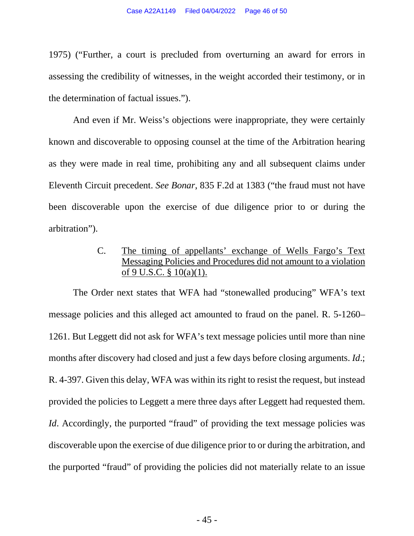1975) ("Further, a court is precluded from overturning an award for errors in assessing the credibility of witnesses, in the weight accorded their testimony, or in the determination of factual issues.").

And even if Mr. Weiss's objections were inappropriate, they were certainly known and discoverable to opposing counsel at the time of the Arbitration hearing as they were made in real time, prohibiting any and all subsequent claims under Eleventh Circuit precedent. *See Bonar*, 835 F.2d at 1383 ("the fraud must not have been discoverable upon the exercise of due diligence prior to or during the arbitration").

# <span id="page-45-1"></span><span id="page-45-0"></span>C. The timing of appellants' exchange of Wells Fargo's Text Messaging Policies and Procedures did not amount to a violation of 9 U.S.C. § 10(a)(1).

The Order next states that WFA had "stonewalled producing" WFA's text message policies and this alleged act amounted to fraud on the panel. R. 5-1260– 1261. But Leggett did not ask for WFA's text message policies until more than nine months after discovery had closed and just a few days before closing arguments. *Id*.; R. 4-397. Given this delay, WFA was within its right to resist the request, but instead provided the policies to Leggett a mere three days after Leggett had requested them. *Id.* Accordingly, the purported "fraud" of providing the text message policies was discoverable upon the exercise of due diligence prior to or during the arbitration, and the purported "fraud" of providing the policies did not materially relate to an issue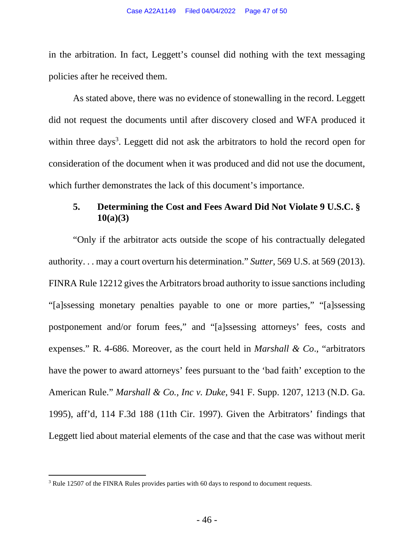in the arbitration. In fact, Leggett's counsel did nothing with the text messaging policies after he received them.

As stated above, there was no evidence of stonewalling in the record. Leggett did not request the documents until after discovery closed and WFA produced it within three days<sup>[3](#page-46-5)</sup>. Leggett did not ask the arbitrators to hold the record open for consideration of the document when it was produced and did not use the document, which further demonstrates the lack of this document's importance.

# <span id="page-46-2"></span><span id="page-46-0"></span>**5. Determining the Cost and Fees Award Did Not Violate 9 U.S.C. § 10(a)(3)**

<span id="page-46-3"></span>"Only if the arbitrator acts outside the scope of his contractually delegated authority. . . may a court overturn his determination." *Sutter*, 569 U.S. at 569 (2013). FINRA Rule 12212 gives the Arbitrators broad authority to issue sanctions including "[a]ssessing monetary penalties payable to one or more parties," "[a]ssessing postponement and/or forum fees," and "[a]ssessing attorneys' fees, costs and expenses." R. 4-686. Moreover, as the court held in *Marshall & Co*., "arbitrators have the power to award attorneys' fees pursuant to the 'bad faith' exception to the American Rule." *Marshall & Co., Inc v. Duke*, 941 F. Supp. 1207, 1213 (N.D. Ga. 1995), aff'd, 114 F.3d 188 (11th Cir. 1997). Given the Arbitrators' findings that Leggett lied about material elements of the case and that the case was without merit

<span id="page-46-5"></span><span id="page-46-4"></span><span id="page-46-1"></span><sup>&</sup>lt;sup>3</sup> Rule 12507 of the FINRA Rules provides parties with 60 days to respond to document requests.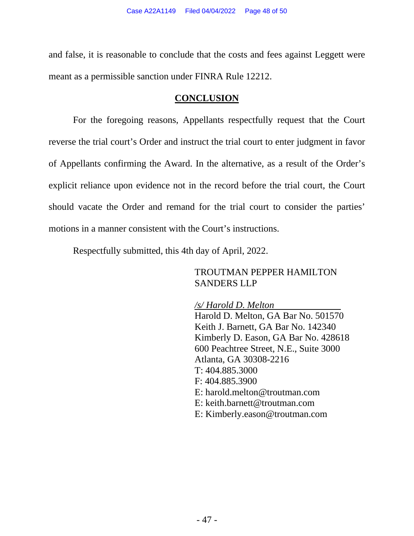and false, it is reasonable to conclude that the costs and fees against Leggett were meant as a permissible sanction under FINRA Rule 12212.

#### **CONCLUSION**

For the foregoing reasons, Appellants respectfully request that the Court reverse the trial court's Order and instruct the trial court to enter judgment in favor of Appellants confirming the Award. In the alternative, as a result of the Order's explicit reliance upon evidence not in the record before the trial court, the Court should vacate the Order and remand for the trial court to consider the parties' motions in a manner consistent with the Court's instructions.

Respectfully submitted, this 4th day of April, 2022.

### TROUTMAN PEPPER HAMILTON SANDERS LLP

#### */s/ Harold D. Melton*

Harold D. Melton, GA Bar No. 501570 Keith J. Barnett, GA Bar No. 142340 Kimberly D. Eason, GA Bar No. 428618 600 Peachtree Street, N.E., Suite 3000 Atlanta, GA 30308-2216 T: 404.885.3000 F: 404.885.3900 E: harold.melton@troutman.com E: keith.barnett@troutman.com E: Kimberly.eason@troutman.com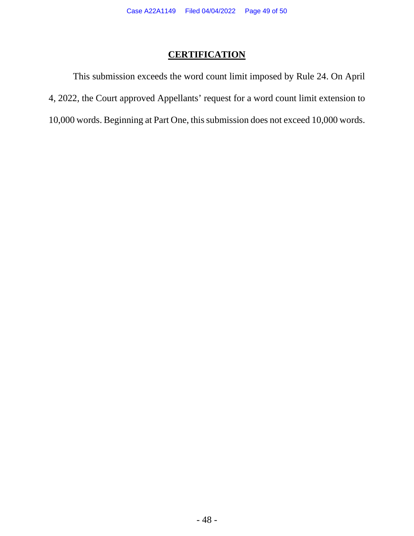# **CERTIFICATION**

This submission exceeds the word count limit imposed by Rule 24. On April 4, 2022, the Court approved Appellants' request for a word count limit extension to 10,000 words. Beginning at Part One, this submission does not exceed 10,000 words.